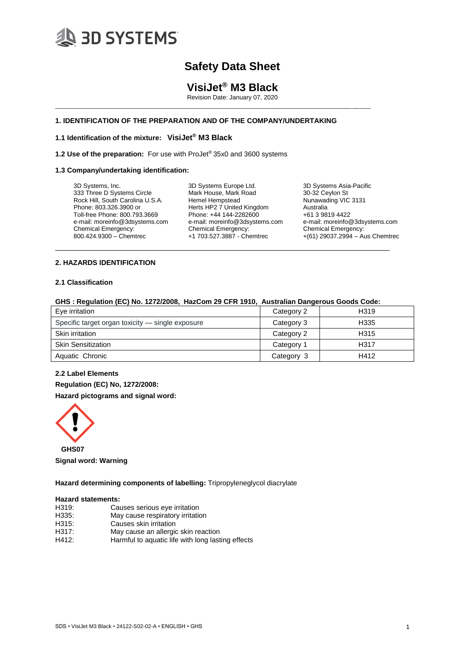

# **VisiJet® M3 Black**

Revision Date: January 07, 2020

# **1. IDENTIFICATION OF THE PREPARATION AND OF THE COMPANY/UNDERTAKING**

\_\_\_\_\_\_\_\_\_\_\_\_\_\_\_\_\_\_\_\_\_\_\_\_\_\_\_\_\_\_\_\_\_\_\_\_\_\_\_\_\_\_\_\_\_\_\_\_\_\_\_\_\_\_\_\_\_\_\_\_\_\_\_\_\_\_\_\_\_\_\_\_\_\_\_\_\_\_\_\_\_\_\_\_\_

# **1.1 Identification of the mixture: VisiJet® M3 Black**

**1.2 Use of the preparation:** For use with ProJet® 35x0 and 3600 systems

### **1.3 Company/undertaking identification:**

3D Systems, Inc. 333 Three D Systems Circle Rock Hill, South Carolina U.S.A. Phone: 803.326.3900 or Toll-free Phone: 800.793.3669 e-mail: moreinfo@3dsystems.com Chemical Emergency: 800.424.9300 – Chemtrec

3D Systems Europe Ltd. Mark House, Mark Road Hemel Hempstead Herts HP2 7 United Kingdom Phone: +44 144-2282600 e-mail: moreinfo@3dsystems.com Chemical Emergency: +1 703.527.3887 - Chemtrec

3D Systems Asia-Pacific 30-32 Ceylon St Nunawading VIC 3131 Australia +61 3 9819 4422 e-mail: moreinfo@3dsystems.com Chemical Emergency: +(61) 29037.2994 – Aus Chemtrec

# **2. HAZARDS IDENTIFICATION**

#### **2.1 Classification**

|  |  | GHS: Regulation (EC) No. 1272/2008, HazCom 29 CFR 1910, Australian Dangerous Goods Code: |  |
|--|--|------------------------------------------------------------------------------------------|--|
|  |  |                                                                                          |  |

\_\_\_\_\_\_\_\_\_\_\_\_\_\_\_\_\_\_\_\_\_\_\_\_\_\_\_\_\_\_\_\_\_\_\_\_\_\_\_\_\_\_\_\_\_\_\_\_\_\_\_\_\_\_\_\_\_\_\_\_\_\_\_\_\_\_\_\_\_\_\_\_\_\_\_\_\_\_\_\_\_

| Eye irritation                                   | Category 2 | H319 |
|--------------------------------------------------|------------|------|
| Specific target organ toxicity — single exposure | Category 3 | H335 |
| Skin irritation                                  | Category 2 | H315 |
| <b>Skin Sensitization</b>                        | Category 1 | H317 |
| Aquatic Chronic                                  | Category 3 | H412 |

# **2.2 Label Elements**

**Regulation (EC) No, 1272/2008:**

**Hazard pictograms and signal word:**



**Signal word: Warning**

**Hazard determining components of labelling:** Tripropyleneglycol diacrylate

### **Hazard statements:**

| H319: | Causes serious eye irritation       |  |
|-------|-------------------------------------|--|
| H335: | May cause respiratory irritation    |  |
| H315: | Causes skin irritation              |  |
| H317: | May cause an allergic skin reaction |  |
|       | .                                   |  |

H412: Harmful to aquatic life with long lasting effects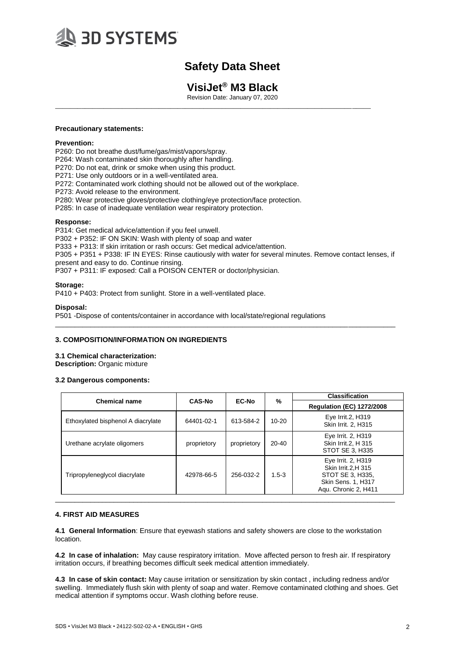

# **VisiJet® M3 Black**

Revision Date: January 07, 2020

\_\_\_\_\_\_\_\_\_\_\_\_\_\_\_\_\_\_\_\_\_\_\_\_\_\_\_\_\_\_\_\_\_\_\_\_\_\_\_\_\_\_\_\_\_\_\_\_\_\_\_\_\_\_\_\_\_\_\_\_\_\_\_\_\_\_\_\_\_\_\_\_\_\_\_\_\_\_\_\_\_\_\_\_\_

### **Precautionary statements:**

### **Prevention:**

P260: Do not breathe dust/fume/gas/mist/vapors/spray.

P264: Wash contaminated skin thoroughly after handling.

P270: Do not eat, drink or smoke when using this product.

P271: Use only outdoors or in a well-ventilated area.

P272: Contaminated work clothing should not be allowed out of the workplace.

P273: Avoid release to the environment.

P280: Wear protective gloves/protective clothing/eye protection/face protection.

P285: In case of inadequate ventilation wear respiratory protection.

### **Response:**

P314: Get medical advice/attention if you feel unwell.

P302 + P352: IF ON SKIN: Wash with plenty of soap and water

P333 + P313: If skin irritation or rash occurs: Get medical advice/attention.

P305 + P351 + P338: IF IN EYES: Rinse cautiously with water for several minutes. Remove contact lenses, if present and easy to do. Continue rinsing.

\_\_\_\_\_\_\_\_\_\_\_\_\_\_\_\_\_\_\_\_\_\_\_\_\_\_\_\_\_\_\_\_\_\_\_\_\_\_\_\_\_\_\_\_\_\_\_\_\_\_\_\_\_\_\_\_\_\_\_\_\_\_\_\_\_\_\_\_\_\_\_\_\_\_\_\_\_\_\_\_\_\_\_\_\_\_\_

P307 + P311: IF exposed: Call a POISON CENTER or doctor/physician.

## **Storage:**

P410 + P403: Protect from sunlight. Store in a well-ventilated place.

### **Disposal:**

P501 -Dispose of contents/container in accordance with local/state/regional regulations

## **3. COMPOSITION/INFORMATION ON INGREDIENTS**

**3.1 Chemical characterization: Description:** Organic mixture

# **3.2 Dangerous components:**

|                                    |               | EC-No       |           | <b>Classification</b>                                                                                        |  |
|------------------------------------|---------------|-------------|-----------|--------------------------------------------------------------------------------------------------------------|--|
| <b>Chemical name</b>               | <b>CAS-No</b> |             | %         | <b>Regulation (EC) 1272/2008</b>                                                                             |  |
| Ethoxylated bisphenol A diacrylate | 64401-02-1    | 613-584-2   | $10 - 20$ | Eye Irrit.2, H319<br>Skin Irrit. 2, H315                                                                     |  |
| Urethane acrylate oligomers        | proprietory   | proprietory | $20 - 40$ | Eye Irrit. 2, H319<br>Skin Irrit. 2. H 315<br>STOT SE 3. H335                                                |  |
| Tripropyleneglycol diacrylate      | 42978-66-5    | 256-032-2   | $1.5-3$   | Eye Irrit. 2, H319<br>Skin Irrit. 2. H 315<br>STOT SE 3, H335,<br>Skin Sens. 1, H317<br>Agu. Chronic 2, H411 |  |

## **4. FIRST AID MEASURES**

**4.1 General Information**: Ensure that eyewash stations and safety showers are close to the workstation location.

**4.2 In case of inhalation:** May cause respiratory irritation. Move affected person to fresh air. If respiratory irritation occurs, if breathing becomes difficult seek medical attention immediately.

**4.3 In case of skin contact:** May cause irritation or sensitization by skin contact , including redness and/or swelling. Immediately flush skin with plenty of soap and water. Remove contaminated clothing and shoes. Get medical attention if symptoms occur. Wash clothing before reuse.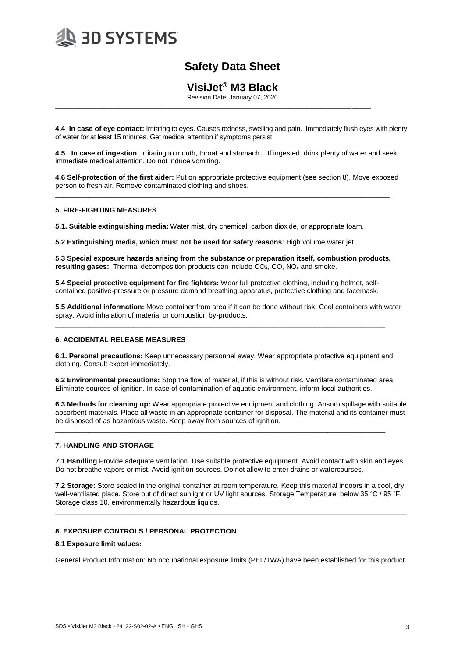

# **VisiJet® M3 Black**

Revision Date: January 07, 2020

\_\_\_\_\_\_\_\_\_\_\_\_\_\_\_\_\_\_\_\_\_\_\_\_\_\_\_\_\_\_\_\_\_\_\_\_\_\_\_\_\_\_\_\_\_\_\_\_\_\_\_\_\_\_\_\_\_\_\_\_\_\_\_\_\_\_\_\_\_\_\_\_\_\_\_\_\_\_\_\_\_\_\_\_\_

**4.4 In case of eye contact:** Irritating to eyes. Causes redness, swelling and pain. Immediately flush eyes with plenty of water for at least 15 minutes. Get medical attention if symptoms persist.

**4.5 In case of ingestion**: Irritating to mouth, throat and stomach. If ingested, drink plenty of water and seek immediate medical attention. Do not induce vomiting.

**4.6 Self-protection of the first aider:** Put on appropriate protective equipment (see section 8). Move exposed person to fresh air. Remove contaminated clothing and shoes.

\_\_\_\_\_\_\_\_\_\_\_\_\_\_\_\_\_\_\_\_\_\_\_\_\_\_\_\_\_\_\_\_\_\_\_\_\_\_\_\_\_\_\_\_\_\_\_\_\_\_\_\_\_\_\_\_\_\_\_\_\_\_\_\_\_\_\_\_\_\_\_\_\_\_\_\_\_\_\_\_\_

# **5. FIRE-FIGHTING MEASURES**

**5.1. Suitable extinguishing media:** Water mist, dry chemical, carbon dioxide, or appropriate foam.

**5.2 Extinguishing media, which must not be used for safety reasons**: High volume water jet.

**5.3 Special exposure hazards arising from the substance or preparation itself, combustion products, resulting gases:** Thermal decomposition products can include CO<sub>2</sub>, CO, NO<sub>x</sub> and smoke.

**5.4 Special protective equipment for fire fighters:** Wear full protective clothing, including helmet, selfcontained positive-pressure or pressure demand breathing apparatus, protective clothing and facemask.

\_\_\_\_\_\_\_\_\_\_\_\_\_\_\_\_\_\_\_\_\_\_\_\_\_\_\_\_\_\_\_\_\_\_\_\_\_\_\_\_\_\_\_\_\_\_\_\_\_\_\_\_\_\_\_\_\_\_\_\_\_\_\_\_\_\_\_\_\_\_\_\_\_\_\_\_\_\_\_\_

**5.5 Additional information:** Move container from area if it can be done without risk. Cool containers with water spray. Avoid inhalation of material or combustion by-products.

## **6. ACCIDENTAL RELEASE MEASURES**

**6.1. Personal precautions:** Keep unnecessary personnel away. Wear appropriate protective equipment and clothing. Consult expert immediately.

**6.2 Environmental precautions:** Stop the flow of material, if this is without risk. Ventilate contaminated area. Eliminate sources of ignition. In case of contamination of aquatic environment, inform local authorities.

\_\_\_\_\_\_\_\_\_\_\_\_\_\_\_\_\_\_\_\_\_\_\_\_\_\_\_\_\_\_\_\_\_\_\_\_\_\_\_\_\_\_\_\_\_\_\_\_\_\_\_\_\_\_\_\_\_\_\_\_\_\_\_\_\_\_\_\_\_\_\_\_\_\_\_\_\_\_\_\_

**6.3 Methods for cleaning up:** Wear appropriate protective equipment and clothing. Absorb spillage with suitable absorbent materials. Place all waste in an appropriate container for disposal. The material and its container must be disposed of as hazardous waste. Keep away from sources of ignition.

## **7. HANDLING AND STORAGE**

**7.1 Handling** Provide adequate ventilation. Use suitable protective equipment. Avoid contact with skin and eyes. Do not breathe vapors or mist. Avoid ignition sources. Do not allow to enter drains or watercourses.

**7.2 Storage:** Store sealed in the original container at room temperature. Keep this material indoors in a cool, dry, well-ventilated place. Store out of direct sunlight or UV light sources. Storage Temperature: below 35 °C / 95 °F. Storage class 10, environmentally hazardous liquids.

\_\_\_\_\_\_\_\_\_\_\_\_\_\_\_\_\_\_\_\_\_\_\_\_\_\_\_\_\_\_\_\_\_\_\_\_\_\_\_\_\_\_\_\_\_\_\_\_\_\_\_\_\_\_\_\_\_\_\_\_\_\_\_\_\_\_\_\_\_\_\_\_\_\_\_\_\_\_\_\_\_\_\_\_\_\_\_\_\_\_

# **8. EXPOSURE CONTROLS / PERSONAL PROTECTION**

## **8.1 Exposure limit values:**

General Product Information: No occupational exposure limits (PEL/TWA) have been established for this product.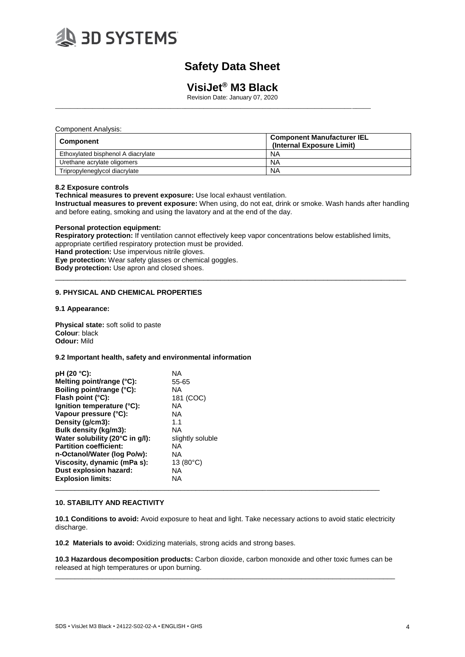

# **VisiJet® M3 Black**

Revision Date: January 07, 2020

\_\_\_\_\_\_\_\_\_\_\_\_\_\_\_\_\_\_\_\_\_\_\_\_\_\_\_\_\_\_\_\_\_\_\_\_\_\_\_\_\_\_\_\_\_\_\_\_\_\_\_\_\_\_\_\_\_\_\_\_\_\_\_\_\_\_\_\_\_\_\_\_\_\_\_\_\_\_\_\_\_\_\_\_\_

#### Component Analysis:

| Component                          | <b>Component Manufacturer IEL</b><br>(Internal Exposure Limit) |
|------------------------------------|----------------------------------------------------------------|
| Ethoxylated bisphenol A diacrylate | ΝA                                                             |
| Urethane acrylate oligomers        | <b>NA</b>                                                      |
| Tripropyleneglycol diacrylate      | <b>NA</b>                                                      |

#### **8.2 Exposure controls**

**Technical measures to prevent exposure:** Use local exhaust ventilation.

**Instructual measures to prevent exposure:** When using, do not eat, drink or smoke. Wash hands after handling and before eating, smoking and using the lavatory and at the end of the day.

### **Personal protection equipment:**

**Respiratory protection:** If ventilation cannot effectively keep vapor concentrations below established limits, appropriate certified respiratory protection must be provided. **Hand protection:** Use impervious nitrile gloves. **Eye protection:** Wear safety glasses or chemical goggles. **Body protection:** Use apron and closed shoes.

 $\_$  ,  $\_$  ,  $\_$  ,  $\_$  ,  $\_$  ,  $\_$  ,  $\_$  ,  $\_$  ,  $\_$  ,  $\_$  ,  $\_$  ,  $\_$  ,  $\_$  ,  $\_$  ,  $\_$  ,  $\_$  ,  $\_$  ,  $\_$  ,  $\_$  ,  $\_$  ,  $\_$  ,  $\_$  ,  $\_$  ,  $\_$  ,  $\_$  ,  $\_$  ,  $\_$  ,  $\_$  ,  $\_$  ,  $\_$  ,  $\_$  ,  $\_$  ,  $\_$  ,  $\_$  ,  $\_$  ,  $\_$  ,  $\_$  ,

## **9. PHYSICAL AND CHEMICAL PROPERTIES**

#### **9.1 Appearance:**

**Physical state:** soft solid to paste **Colour**: black **Odour:** Mild

#### **9.2 Important health, safety and environmental information**

| pH (20 °C):                     | ΝA                 |  |
|---------------------------------|--------------------|--|
| Melting point/range (°C):       | 55-65              |  |
| Boiling point/range (°C):       | ΝA                 |  |
| Flash point $(^{\circ}C)$ :     | 181 (COC)          |  |
| lgnition temperature (°C):      | ΝA                 |  |
| Vapour pressure (°C):           | ΝA                 |  |
| Density (g/cm3):                | 1.1                |  |
| Bulk density (kg/m3):           | ΝA                 |  |
| Water solubility (20°C in g/l): | slightly soluble   |  |
| <b>Partition coefficient:</b>   | ΝA                 |  |
| n-Octanol/Water (log Po/w):     | ΝA                 |  |
| Viscosity, dynamic (mPa s):     | 13 $(80^{\circ}C)$ |  |
| Dust explosion hazard:          | ΝA                 |  |
| <b>Explosion limits:</b>        | ΝA                 |  |
|                                 |                    |  |

## **10. STABILITY AND REACTIVITY**

**10.1 Conditions to avoid:** Avoid exposure to heat and light. Take necessary actions to avoid static electricity discharge.

**10.2 Materials to avoid:** Oxidizing materials, strong acids and strong bases.

**10.3 Hazardous decomposition products:** Carbon dioxide, carbon monoxide and other toxic fumes can be released at high temperatures or upon burning. \_\_\_\_\_\_\_\_\_\_\_\_\_\_\_\_\_\_\_\_\_\_\_\_\_\_\_\_\_\_\_\_\_\_\_\_\_\_\_\_\_\_\_\_\_\_\_\_\_\_\_\_\_\_\_\_\_\_\_\_\_\_\_\_\_\_\_\_\_\_\_\_\_\_\_\_\_\_\_\_\_\_\_\_\_\_\_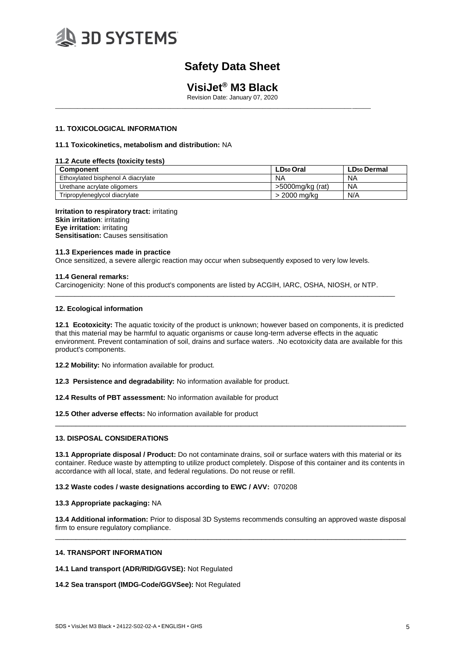

# **VisiJet® M3 Black**

Revision Date: January 07, 2020

\_\_\_\_\_\_\_\_\_\_\_\_\_\_\_\_\_\_\_\_\_\_\_\_\_\_\_\_\_\_\_\_\_\_\_\_\_\_\_\_\_\_\_\_\_\_\_\_\_\_\_\_\_\_\_\_\_\_\_\_\_\_\_\_\_\_\_\_\_\_\_\_\_\_\_\_\_\_\_\_\_\_\_\_\_

### **11. TOXICOLOGICAL INFORMATION**

#### **11.1 Toxicokinetics, metabolism and distribution:** NA

### **11.2 Acute effects (toxicity tests)**

| <b>Component</b>                   | LD <sub>50</sub> Oral | LD <sub>50</sub> Dermal |
|------------------------------------|-----------------------|-------------------------|
| Ethoxylated bisphenol A diacrylate | NA                    | NA                      |
| Urethane acrylate oligomers        | >5000mg/kg (rat)      | <b>NA</b>               |
| Tripropyleneglycol diacrylate      | > 2000 ma/ka          | N/A                     |

**Irritation to respiratory tract:** irritating **Skin irritation**: irritating **Eye irritation:** irritating **Sensitisation: Causes sensitisation** 

#### **11.3 Experiences made in practice**

Once sensitized, a severe allergic reaction may occur when subsequently exposed to very low levels.

#### **11.4 General remarks:**

Carcinogenicity: None of this product's components are listed by ACGIH, IARC, OSHA, NIOSH, or NTP.

\_\_\_\_\_\_\_\_\_\_\_\_\_\_\_\_\_\_\_\_\_\_\_\_\_\_\_\_\_\_\_\_\_\_\_\_\_\_\_\_\_\_\_\_\_\_\_\_\_\_\_\_\_\_\_\_\_\_\_\_\_\_\_\_\_\_\_\_\_\_\_\_\_\_\_\_\_\_\_\_\_\_\_\_\_\_\_

#### **12. Ecological information**

**12.1 Ecotoxicity:** The aquatic toxicity of the product is unknown; however based on components, it is predicted that this material may be harmful to aquatic organisms or cause long-term adverse effects in the aquatic environment. Prevent contamination of soil, drains and surface waters. .No ecotoxicity data are available for this product's components.

**12.2 Mobility:** No information available for product.

**12.3 Persistence and degradability:** No information available for product.

**12.4 Results of PBT assessment:** No information available for product

**12.5 Other adverse effects:** No information available for product

## **13. DISPOSAL CONSIDERATIONS**

**13.1 Appropriate disposal / Product:** Do not contaminate drains, soil or surface waters with this material or its container. Reduce waste by attempting to utilize product completely. Dispose of this container and its contents in accordance with all local, state, and federal regulations. Do not reuse or refill.

\_\_\_\_\_\_\_\_\_\_\_\_\_\_\_\_\_\_\_\_\_\_\_\_\_\_\_\_\_\_\_\_\_\_\_\_\_\_\_\_\_\_\_\_\_\_\_\_\_\_\_\_\_\_\_\_\_\_\_\_\_\_\_\_\_\_\_\_\_\_\_\_\_\_\_\_\_\_\_\_\_\_\_\_\_

#### **13.2 Waste codes / waste designations according to EWC / AVV:** 070208

#### **13.3 Appropriate packaging:** NA

**13.4 Additional information:** Prior to disposal 3D Systems recommends consulting an approved waste disposal firm to ensure regulatory compliance. \_\_\_\_\_\_\_\_\_\_\_\_\_\_\_\_\_\_\_\_\_\_\_\_\_\_\_\_\_\_\_\_\_\_\_\_\_\_\_\_\_\_\_\_\_\_\_\_\_\_\_\_\_\_\_\_\_\_\_\_\_\_\_\_\_\_\_\_\_\_\_\_\_\_\_\_\_\_\_\_\_\_\_\_\_

# **14. TRANSPORT INFORMATION**

**14.1 Land transport (ADR/RID/GGVSE):** Not Regulated

#### **14.2 Sea transport (IMDG-Code/GGVSee):** Not Regulated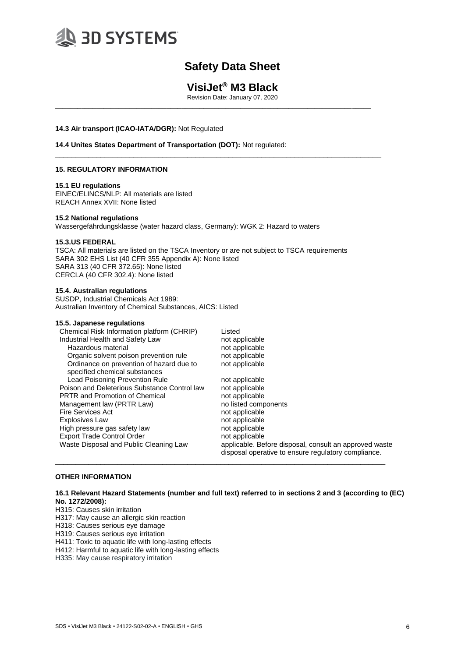

# **VisiJet® M3 Black**

Revision Date: January 07, 2020

\_\_\_\_\_\_\_\_\_\_\_\_\_\_\_\_\_\_\_\_\_\_\_\_\_\_\_\_\_\_\_\_\_\_\_\_\_\_\_\_\_\_\_\_\_\_\_\_\_\_\_\_\_\_\_\_\_\_\_\_\_\_\_\_\_\_\_\_\_\_\_\_\_\_\_\_\_\_\_\_\_\_\_\_\_

\_\_\_\_\_\_\_\_\_\_\_\_\_\_\_\_\_\_\_\_\_\_\_\_\_\_\_\_\_\_\_\_\_\_\_\_\_\_\_\_\_\_\_\_\_\_\_\_\_\_\_\_\_\_\_\_\_\_\_\_\_\_\_\_\_\_\_\_\_\_\_\_\_\_\_\_\_\_\_

#### **14.3 Air transport (ICAO-IATA/DGR):** Not Regulated

# **14.4 Unites States Department of Transportation (DOT):** Not regulated:

### **15. REGULATORY INFORMATION**

#### **15.1 EU regulations**

EINEC/ELINCS/NLP: All materials are listed REACH Annex XVII: None listed

#### **15.2 National regulations**

Wassergefährdungsklasse (water hazard class, Germany): WGK 2: Hazard to waters

#### **15.3.US FEDERAL**

TSCA: All materials are listed on the TSCA Inventory or are not subject to TSCA requirements SARA 302 EHS List (40 CFR 355 Appendix A): None listed SARA 313 (40 CFR 372.65): None listed CERCLA (40 CFR 302.4): None listed

#### **15.4. Australian regulations**

SUSDP, Industrial Chemicals Act 1989: Australian Inventory of Chemical Substances, AICS: Listed

#### **15.5. Japanese regulations**

| Chemical Risk Information platform (CHRIP)                                | Listed                                                                                                        |
|---------------------------------------------------------------------------|---------------------------------------------------------------------------------------------------------------|
| Industrial Health and Safety Law                                          | not applicable                                                                                                |
| Hazardous material                                                        | not applicable                                                                                                |
| Organic solvent poison prevention rule                                    | not applicable                                                                                                |
| Ordinance on prevention of hazard due to<br>specified chemical substances | not applicable                                                                                                |
| <b>Lead Poisoning Prevention Rule</b>                                     | not applicable                                                                                                |
| Poison and Deleterious Substance Control law                              | not applicable                                                                                                |
| <b>PRTR and Promotion of Chemical</b>                                     | not applicable                                                                                                |
| Management law (PRTR Law)                                                 | no listed components                                                                                          |
| <b>Fire Services Act</b>                                                  | not applicable                                                                                                |
| <b>Explosives Law</b>                                                     | not applicable                                                                                                |
| High pressure gas safety law                                              | not applicable                                                                                                |
| <b>Export Trade Control Order</b>                                         | not applicable                                                                                                |
| Waste Disposal and Public Cleaning Law                                    | applicable. Before disposal, consult an approved waste<br>disposal operative to ensure regulatory compliance. |

### **OTHER INFORMATION**

# **16.1 Relevant Hazard Statements (number and full text) referred to in sections 2 and 3 (according to (EC) No. 1272/2008):**

\_\_\_\_\_\_\_\_\_\_\_\_\_\_\_\_\_\_\_\_\_\_\_\_\_\_\_\_\_\_\_\_\_\_\_\_\_\_\_\_\_\_\_\_\_\_\_\_\_\_\_\_\_\_\_\_\_\_\_\_\_\_\_\_\_\_\_\_\_\_\_\_\_\_\_\_\_\_\_\_

H315: Causes skin irritation

H317: May cause an allergic skin reaction

H318: Causes serious eye damage

H319: Causes serious eye irritation

H411: Toxic to aquatic life with long-lasting effects

H412: Harmful to aquatic life with long-lasting effects

H335: May cause respiratory irritation